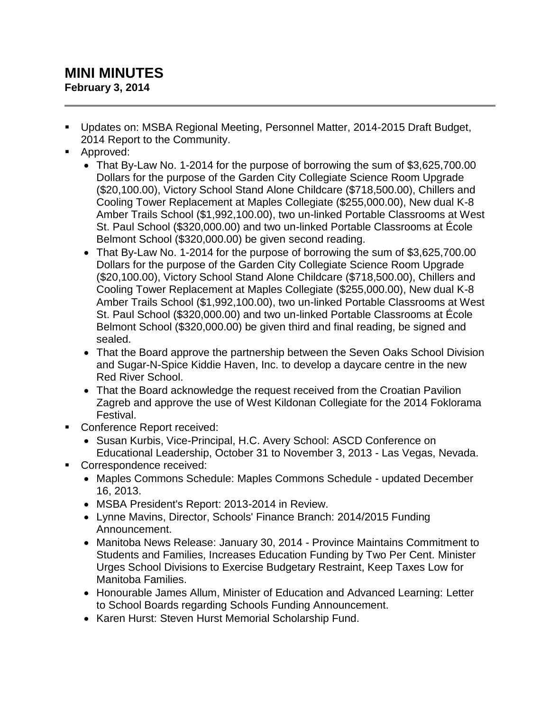## **MINI MINUTES February 3, 2014**

- Updates on: MSBA Regional Meeting, Personnel Matter, 2014-2015 Draft Budget, 2014 Report to the Community.
- **Approved:** 
	- That By-Law No. 1-2014 for the purpose of borrowing the sum of \$3,625,700.00 Dollars for the purpose of the Garden City Collegiate Science Room Upgrade (\$20,100.00), Victory School Stand Alone Childcare (\$718,500.00), Chillers and Cooling Tower Replacement at Maples Collegiate (\$255,000.00), New dual K-8 Amber Trails School (\$1,992,100.00), two un-linked Portable Classrooms at West St. Paul School (\$320,000.00) and two un-linked Portable Classrooms at École Belmont School (\$320,000.00) be given second reading.
	- That By-Law No. 1-2014 for the purpose of borrowing the sum of \$3,625,700.00 Dollars for the purpose of the Garden City Collegiate Science Room Upgrade (\$20,100.00), Victory School Stand Alone Childcare (\$718,500.00), Chillers and Cooling Tower Replacement at Maples Collegiate (\$255,000.00), New dual K-8 Amber Trails School (\$1,992,100.00), two un-linked Portable Classrooms at West St. Paul School (\$320,000.00) and two un-linked Portable Classrooms at École Belmont School (\$320,000.00) be given third and final reading, be signed and sealed.
	- That the Board approve the partnership between the Seven Oaks School Division and Sugar-N-Spice Kiddie Haven, Inc. to develop a daycare centre in the new Red River School.
	- That the Board acknowledge the request received from the Croatian Pavilion Zagreb and approve the use of West Kildonan Collegiate for the 2014 Foklorama Festival.
- Conference Report received:
	- Susan Kurbis, Vice-Principal, H.C. Avery School: ASCD Conference on Educational Leadership, October 31 to November 3, 2013 - Las Vegas, Nevada.
- Correspondence received:
	- Maples Commons Schedule: Maples Commons Schedule updated December 16, 2013.
	- MSBA President's Report: 2013-2014 in Review.
	- Lynne Mavins, Director, Schools' Finance Branch: 2014/2015 Funding Announcement.
	- Manitoba News Release: January 30, 2014 Province Maintains Commitment to Students and Families, Increases Education Funding by Two Per Cent. Minister Urges School Divisions to Exercise Budgetary Restraint, Keep Taxes Low for Manitoba Families.
	- Honourable James Allum, Minister of Education and Advanced Learning: Letter to School Boards regarding Schools Funding Announcement.
	- Karen Hurst: Steven Hurst Memorial Scholarship Fund.